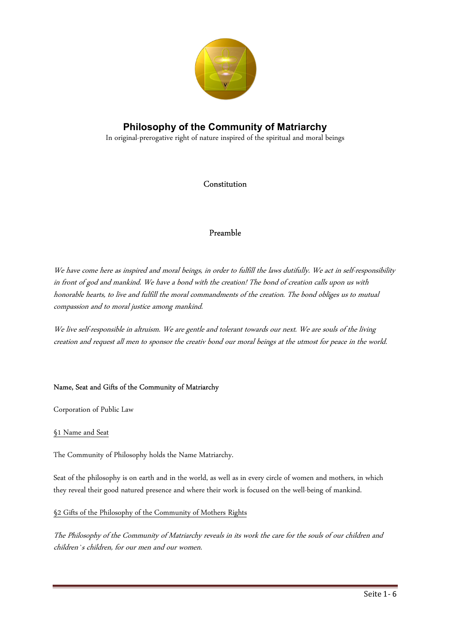

In original-prerogative right of nature inspired of the spiritual and moral beings

## Constitution

## Preamble

We have come here as inspired and moral beings, in order to fulfill the laws dutifully. We act in self-responsibility in front of god and mankind. We have a bond with the creation! The bond of creation calls upon us with honorable hearts, to live and fulfill the moral commandments of the creation. The bond obliges us to mutual compassion and to moral justice among mankind.

We live self-responsible in altruism. We are gentle and tolerant towards our next. We are souls of the living creation and request all men to sponsor the creativ bond our moral beings at the utmost for peace in the world.

### Name, Seat and Gifts of the Community of Matriarchy

Corporation of Public Law

### §1 Name and Seat

The Community of Philosophy holds the Name Matriarchy.

Seat of the philosophy is on earth and in the world, as well as in every circle of women and mothers, in which they reveal their good natured presence and where their work is focused on the well-being of mankind.

#### §2 Gifts of the Philosophy of the Community of Mothers Rights

The Philosophy of the Community of Matriarchy reveals in its work the care for the souls of our children and children`s children, for our men and our women.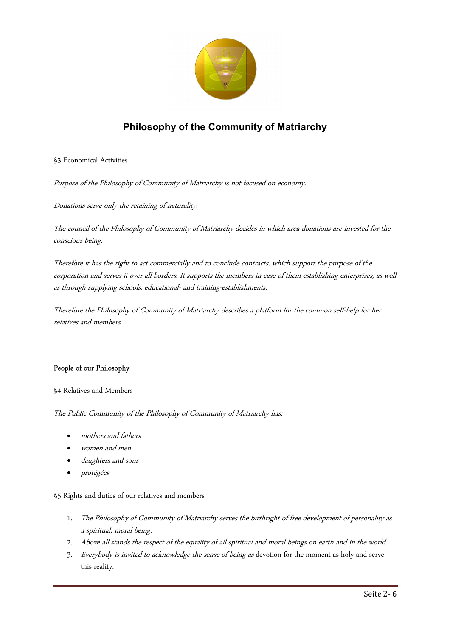

### §3 Economical Activities

Purpose of the Philosophy of Community of Matriarchy is not focused on economy.

Donations serve only the retaining of naturality.

The council of the Philosophy of Community of Matriarchy decides in which area donations are invested for the conscious being.

Therefore it has the right to act commercially and to conclude contracts, which support the purpose of the corporation and serves it over all borders. It supports the members in case of them establishing enterprises, as well as through supplying schools, educational- and training-establishments.

Therefore the Philosophy of Community of Matriarchy describes a platform for the common self-help for her relatives and members.

#### People of our Philosophy

#### §4 Relatives and Members

The Public Community of the Philosophy of Community of Matriarchy has:

- mothers and fathers
- women and men
- daughters and sons
- protégées

#### §5 Rights and duties of our relatives and members

- 1. The Philosophy of Community of Matriarchy serves the birthright of free development of personality as a spiritual, moral being.
- 2. Above all stands the respect of the equality of all spiritual and moral beings on earth and in the world.
- 3. Everybody is invited to acknowledge the sense of being as devotion for the moment as holy and serve this reality.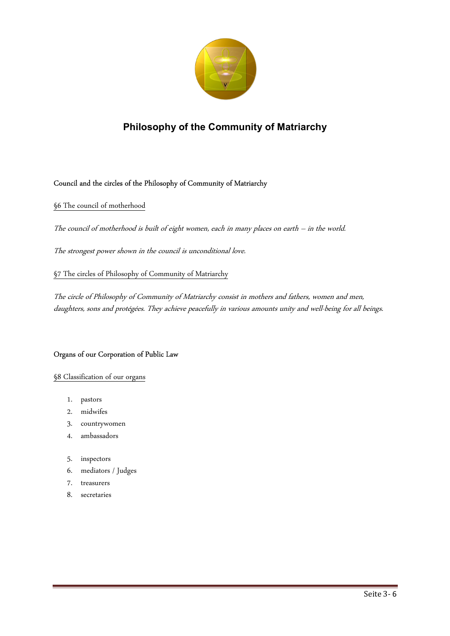

### Council and the circles of the Philosophy of Community of Matriarchy

§6 The council of motherhood

The council of motherhood is built of eight women, each in many places on earth – in the world.

The strongest power shown in the council is unconditional love.

§7 The circles of Philosophy of Community of Matriarchy

The circle of Philosophy of Community of Matriarchy consist in mothers and fathers, women and men, daughters, sons and protégées. They achieve peacefully in various amounts unity and well-being for all beings.

#### Organs of our Corporation of Public Law

#### §8 Classification of our organs

- 1. pastors
- 2. midwifes
- 3. countrywomen
- 4. ambassadors
- 5. inspectors
- 6. mediators / Judges
- 7. treasurers
- 8. secretaries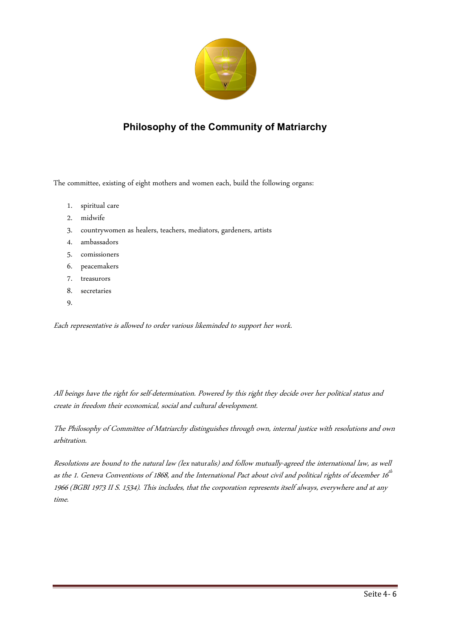

The committee, existing of eight mothers and women each, build the following organs:

- 1. spiritual care
- 2. midwife
- 3. countrywomen as healers, teachers, mediators, gardeners, artists
- 4. ambassadors
- 5. comissioners
- 6. peacemakers
- 7. treasurors
- 8. secretaries
- 9.

Each representative is allowed to order various likeminded to support her work.

All beings have the right for self-determination. Powered by this right they decide over her political status and create in freedom their economical, social and cultural development.

The Philosophy of Committee of Matriarchy distinguishes through own, internal justice with resolutions and own arbitration.

Resolutions are bound to the natural law (lex naturalis) and follow mutually-agreed the international law, as well as the 1. Geneva Conventions of 1868, and the International Pact about civil and political rights of december 16<sup>th</sup> 1966 (BGBI 1973 II S. 1534). This includes, that the corporation represents itself always, everywhere and at any time.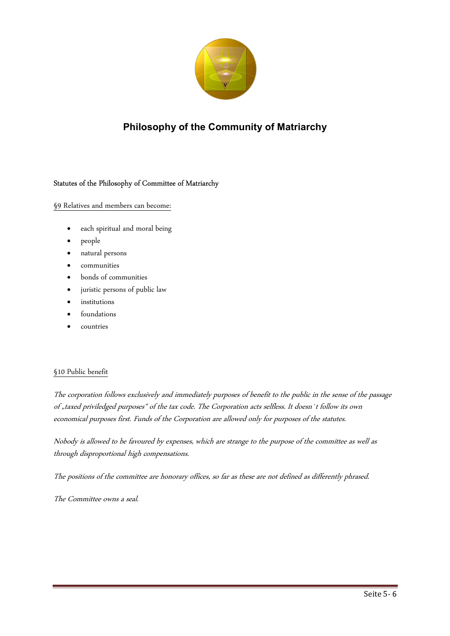

### Statutes of the Philosophy of Committee of Matriarchy

§9 Relatives and members can become:

- each spiritual and moral being
- people
- natural persons
- communities
- bonds of communities
- juristic persons of public law
- institutions
- foundations
- countries

#### §10 Public benefit

The corporation follows exclusively and immediately purposes of benefit to the public in the sense of the passage of "taxed priviledged purposes" of the tax code. The Corporation acts selfless. It doesn't follow its own economical purposes first. Funds of the Corporation are allowed only for purposes of the statutes.

Nobody is allowed to be favoured by expenses, which are strange to the purpose of the committee as well as through disproportional high compensations.

The positions of the committee are honorary offices, so far as these are not defined as differently phrased.

The Committee owns a seal.